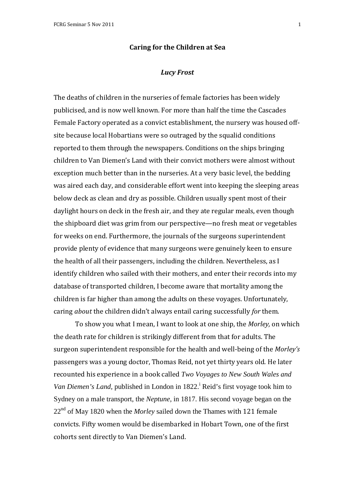## **Caring for the Children at Sea**

## *Lucy Frost*

The deaths of children in the nurseries of female factories has been widely publicised, and is now well known. For more than half the time the Cascades Female Factory operated as a convict establishment, the nursery was housed offsite because local Hobartians were so outraged by the squalid conditions reported to them through the newspapers. Conditions on the ships bringing children to Van Diemen's Land with their convict mothers were almost without exception much better than in the nurseries. At a very basic level, the bedding was aired each day, and considerable effort went into keeping the sleeping areas below deck as clean and dry as possible. Children usually spent most of their daylight hours on deck in the fresh air, and they ate regular meals, even though the shipboard diet was grim from our perspective—no fresh meat or vegetables for weeks on end. Furthermore, the journals of the surgeons superintendent provide plenty of evidence that many surgeons were genuinely keen to ensure the health of all their passengers, including the children. Nevertheless, as I identify children who sailed with their mothers, and enter their records into my database of transported children, I become aware that mortality among the children is far higher than among the adults on these voyages. Unfortunately, caring *about* the children didn't always entail caring successfully *for* them.

 To show you what I mean, I want to look at one ship, the *Morley,* on which the death rate for children is strikingly different from that for adults. The surgeon superintendent responsible for the health and well-being of the *Morley's*  passengers was a young doctor, Thomas Reid, not yet thirty years old. He later recounted his experience in a book called *Two Voyages to New South Wales and*  Van Diemen's Land, published in London in 1822.<sup>i</sup> Reid's first voyage took him to Sydney on a male transport, the *Neptune,* in 1817. His second voyage began on the 22<sup>nd</sup> of May 1820 when the *Morley* sailed down the Thames with 121 female convicts. Fifty women would be disembarked in Hobart Town, one of the first cohorts sent directly to Van Diemen's Land.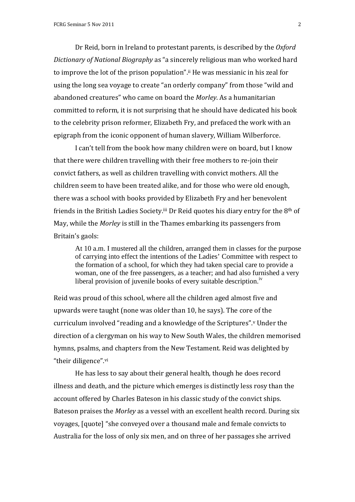Dr Reid, born in Ireland to protestant parents, is described by the *Oxford Dictionary of National Biography* as "a sincerely religious man who worked hard to improve the lot of the prison population".ii He was messianic in his zeal for using the long sea voyage to create "an orderly company" from those "wild and abandoned creatures" who came on board the *Morley*. As a humanitarian committed to reform, it is not surprising that he should have dedicated his book to the celebrity prison reformer, Elizabeth Fry, and prefaced the work with an epigraph from the iconic opponent of human slavery, William Wilberforce.

I can't tell from the book how many children were on board, but I know that there were children travelling with their free mothers to re-join their convict fathers, as well as children travelling with convict mothers. All the children seem to have been treated alike, and for those who were old enough, there was a school with books provided by Elizabeth Fry and her benevolent friends in the British Ladies Society.iii Dr Reid quotes his diary entry for the 8th of May, while the *Morley* is still in the Thames embarking its passengers from Britain's gaols:

At 10 a.m. I mustered all the children, arranged them in classes for the purpose of carrying into effect the intentions of the Ladies' Committee with respect to the formation of a school, for which they had taken special care to provide a woman, one of the free passengers, as a teacher; and had also furnished a very liberal provision of juvenile books of every suitable description.<sup>iv</sup>

Reid was proud of this school, where all the children aged almost five and upwards were taught (none was older than 10, he says). The core of the curriculum involved "reading and a knowledge of the Scriptures".<sup>v</sup> Under the direction of a clergyman on his way to New South Wales, the children memorised hymns, psalms, and chapters from the New Testament. Reid was delighted by "their diligence".vi

 He has less to say about their general health, though he does record illness and death, and the picture which emerges is distinctly less rosy than the account offered by Charles Bateson in his classic study of the convict ships. Bateson praises the *Morley* as a vessel with an excellent health record. During six voyages, [quote] "she conveyed over a thousand male and female convicts to Australia for the loss of only six men, and on three of her passages she arrived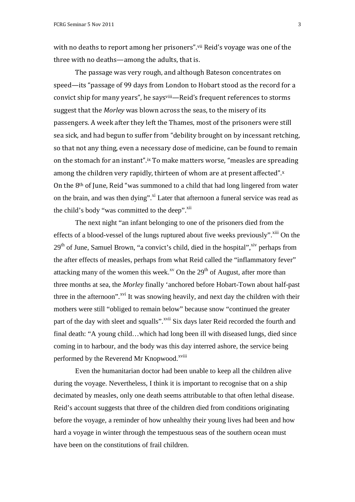with no deaths to report among her prisoners".<sup>vii</sup> Reid's voyage was one of the three with no deaths—among the adults, that is.

 The passage was very rough, and although Bateson concentrates on speed—its "passage of 99 days from London to Hobart stood as the record for a convict ship for many years", he saysviii—Reid's frequent references to storms suggest that the *Morley* was blown across the seas, to the misery of its passengers. A week after they left the Thames, most of the prisoners were still sea sick, and had begun to suffer from "debility brought on by incessant retching, so that not any thing, even a necessary dose of medicine, can be found to remain on the stomach for an instant".ix To make matters worse, "measles are spreading among the children very rapidly, thirteen of whom are at present affected".x On the 8th of June, Reid "was summoned to a child that had long lingered from water on the brain, and was then dying".<sup>xi</sup> Later that afternoon a funeral service was read as the child's body "was committed to the deep".<sup>xii</sup>

 The next night "an infant belonging to one of the prisoners died from the effects of a blood-vessel of the lungs ruptured about five weeks previously".<sup> $\ddot{\text{iii}}$ </sup> On the  $29<sup>th</sup>$  of June, Samuel Brown, "a convict's child, died in the hospital",  $\frac{1}{x}$  perhaps from the after effects of measles, perhaps from what Reid called the "inflammatory fever" attacking many of the women this week.<sup>xv</sup> On the  $29<sup>th</sup>$  of August, after more than three months at sea, the *Morley* finally 'anchored before Hobart-Town about half-past three in the afternoon".<sup>xvi</sup> It was snowing heavily, and next day the children with their mothers were still "obliged to remain below" because snow "continued the greater part of the day with sleet and squalls".<sup>xvii</sup> Six days later Reid recorded the fourth and final death: "A young child…which had long been ill with diseased lungs, died since coming in to harbour, and the body was this day interred ashore, the service being performed by the Reverend Mr Knopwood.<sup>xviii</sup>

Even the humanitarian doctor had been unable to keep all the children alive during the voyage. Nevertheless, I think it is important to recognise that on a ship decimated by measles, only one death seems attributable to that often lethal disease. Reid's account suggests that three of the children died from conditions originating before the voyage, a reminder of how unhealthy their young lives had been and how hard a voyage in winter through the tempestuous seas of the southern ocean must have been on the constitutions of frail children.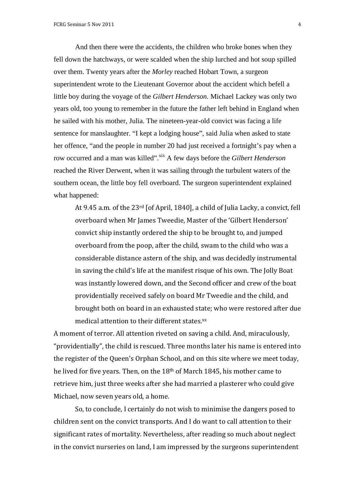And then there were the accidents, the children who broke bones when they fell down the hatchways, or were scalded when the ship lurched and hot soup spilled over them. Twenty years after the *Morley* reached Hobart Town, a surgeon superintendent wrote to the Lieutenant Governor about the accident which befell a little boy during the voyage of the *Gilbert Henderson.* Michael Lackey was only two years old, too young to remember in the future the father left behind in England when he sailed with his mother, Julia. The nineteen-year-old convict was facing a life sentence for manslaughter. "I kept a lodging house", said Julia when asked to state her offence, "and the people in number 20 had just received a fortnight's pay when a row occurred and a man was killed".<sup>xix</sup> A few days before the *Gilbert Henderson* reached the River Derwent, when it was sailing through the turbulent waters of the southern ocean, the little boy fell overboard. The surgeon superintendent explained what happened:

At 9.45 a.m. of the 23rd [of April, 1840], a child of Julia Lacky, a convict, fell overboard when Mr James Tweedie, Master of the 'Gilbert Henderson' convict ship instantly ordered the ship to be brought to, and jumped overboard from the poop, after the child, swam to the child who was a considerable distance astern of the ship, and was decidedly instrumental in saving the child's life at the manifest risque of his own. The Jolly Boat was instantly lowered down, and the Second officer and crew of the boat providentially received safely on board Mr Tweedie and the child, and brought both on board in an exhausted state; who were restored after due medical attention to their different states.xx

A moment of terror. All attention riveted on saving a child. And, miraculously, "providentially", the child is rescued. Three months later his name is entered into the register of the Queen's Orphan School, and on this site where we meet today, he lived for five years. Then, on the 18<sup>th</sup> of March 1845, his mother came to retrieve him, just three weeks after she had married a plasterer who could give Michael, now seven years old, a home.

 So, to conclude, I certainly do not wish to minimise the dangers posed to children sent on the convict transports. And I do want to call attention to their significant rates of mortality. Nevertheless, after reading so much about neglect in the convict nurseries on land, I am impressed by the surgeons superintendent